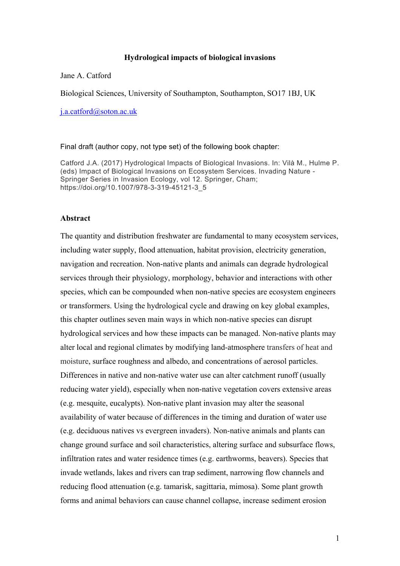#### **Hydrological impacts of biological invasions**

#### Jane A. Catford

Biological Sciences, University of Southampton, Southampton, SO17 1BJ, UK

j.a.catford@soton.ac.uk

Final draft (author copy, not type set) of the following book chapter:

Catford J.A. (2017) Hydrological Impacts of Biological Invasions. In: Vilà M., Hulme P. (eds) Impact of Biological Invasions on Ecosystem Services. Invading Nature - Springer Series in Invasion Ecology, vol 12. Springer, Cham; https://doi.org/10.1007/978-3-319-45121-3\_5

# **Abstract**

The quantity and distribution freshwater are fundamental to many ecosystem services, including water supply, flood attenuation, habitat provision, electricity generation, navigation and recreation. Non-native plants and animals can degrade hydrological services through their physiology, morphology, behavior and interactions with other species, which can be compounded when non-native species are ecosystem engineers or transformers. Using the hydrological cycle and drawing on key global examples, this chapter outlines seven main ways in which non-native species can disrupt hydrological services and how these impacts can be managed. Non-native plants may alter local and regional climates by modifying land-atmosphere transfers of heat and moisture, surface roughness and albedo, and concentrations of aerosol particles. Differences in native and non-native water use can alter catchment runoff (usually reducing water yield), especially when non-native vegetation covers extensive areas (e.g. mesquite, eucalypts). Non-native plant invasion may alter the seasonal availability of water because of differences in the timing and duration of water use (e.g. deciduous natives vs evergreen invaders). Non-native animals and plants can change ground surface and soil characteristics, altering surface and subsurface flows, infiltration rates and water residence times (e.g. earthworms, beavers). Species that invade wetlands, lakes and rivers can trap sediment, narrowing flow channels and reducing flood attenuation (e.g. tamarisk, sagittaria, mimosa). Some plant growth forms and animal behaviors can cause channel collapse, increase sediment erosion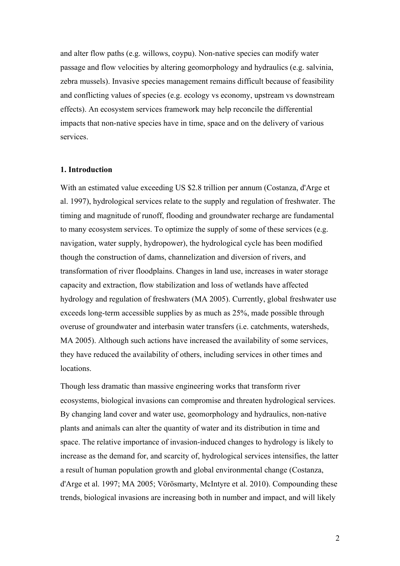and alter flow paths (e.g. willows, coypu). Non-native species can modify water passage and flow velocities by altering geomorphology and hydraulics (e.g. salvinia, zebra mussels). Invasive species management remains difficult because of feasibility and conflicting values of species (e.g. ecology vs economy, upstream vs downstream effects). An ecosystem services framework may help reconcile the differential impacts that non-native species have in time, space and on the delivery of various services.

#### **1. Introduction**

With an estimated value exceeding US \$2.8 trillion per annum (Costanza, d'Arge et al. 1997), hydrological services relate to the supply and regulation of freshwater. The timing and magnitude of runoff, flooding and groundwater recharge are fundamental to many ecosystem services. To optimize the supply of some of these services (e.g. navigation, water supply, hydropower), the hydrological cycle has been modified though the construction of dams, channelization and diversion of rivers, and transformation of river floodplains. Changes in land use, increases in water storage capacity and extraction, flow stabilization and loss of wetlands have affected hydrology and regulation of freshwaters (MA 2005). Currently, global freshwater use exceeds long-term accessible supplies by as much as 25%, made possible through overuse of groundwater and interbasin water transfers (i.e. catchments, watersheds, MA 2005). Although such actions have increased the availability of some services, they have reduced the availability of others, including services in other times and locations.

Though less dramatic than massive engineering works that transform river ecosystems, biological invasions can compromise and threaten hydrological services. By changing land cover and water use, geomorphology and hydraulics, non-native plants and animals can alter the quantity of water and its distribution in time and space. The relative importance of invasion-induced changes to hydrology is likely to increase as the demand for, and scarcity of, hydrological services intensifies, the latter a result of human population growth and global environmental change (Costanza, d'Arge et al. 1997; MA 2005; Vörösmarty, McIntyre et al. 2010). Compounding these trends, biological invasions are increasing both in number and impact, and will likely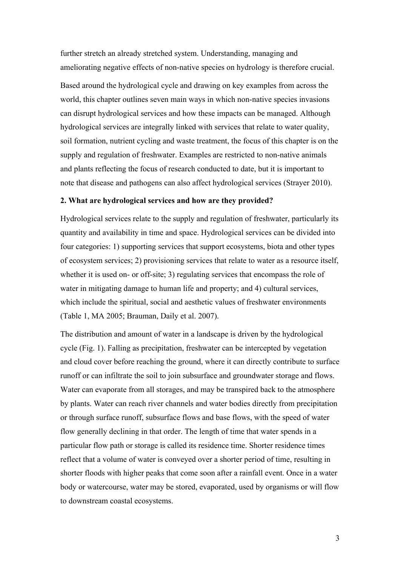further stretch an already stretched system. Understanding, managing and ameliorating negative effects of non-native species on hydrology is therefore crucial.

Based around the hydrological cycle and drawing on key examples from across the world, this chapter outlines seven main ways in which non-native species invasions can disrupt hydrological services and how these impacts can be managed. Although hydrological services are integrally linked with services that relate to water quality, soil formation, nutrient cycling and waste treatment, the focus of this chapter is on the supply and regulation of freshwater. Examples are restricted to non-native animals and plants reflecting the focus of research conducted to date, but it is important to note that disease and pathogens can also affect hydrological services (Strayer 2010).

#### **2. What are hydrological services and how are they provided?**

Hydrological services relate to the supply and regulation of freshwater, particularly its quantity and availability in time and space. Hydrological services can be divided into four categories: 1) supporting services that support ecosystems, biota and other types of ecosystem services; 2) provisioning services that relate to water as a resource itself, whether it is used on- or off-site; 3) regulating services that encompass the role of water in mitigating damage to human life and property; and 4) cultural services, which include the spiritual, social and aesthetic values of freshwater environments (Table 1, MA 2005; Brauman, Daily et al. 2007).

The distribution and amount of water in a landscape is driven by the hydrological cycle (Fig. 1). Falling as precipitation, freshwater can be intercepted by vegetation and cloud cover before reaching the ground, where it can directly contribute to surface runoff or can infiltrate the soil to join subsurface and groundwater storage and flows. Water can evaporate from all storages, and may be transpired back to the atmosphere by plants. Water can reach river channels and water bodies directly from precipitation or through surface runoff, subsurface flows and base flows, with the speed of water flow generally declining in that order. The length of time that water spends in a particular flow path or storage is called its residence time. Shorter residence times reflect that a volume of water is conveyed over a shorter period of time, resulting in shorter floods with higher peaks that come soon after a rainfall event. Once in a water body or watercourse, water may be stored, evaporated, used by organisms or will flow to downstream coastal ecosystems.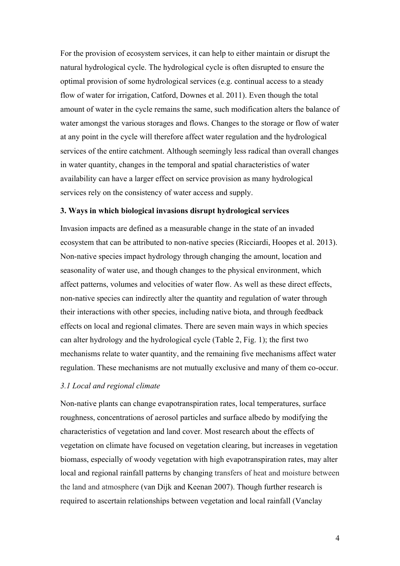For the provision of ecosystem services, it can help to either maintain or disrupt the natural hydrological cycle. The hydrological cycle is often disrupted to ensure the optimal provision of some hydrological services (e.g. continual access to a steady flow of water for irrigation, Catford, Downes et al. 2011). Even though the total amount of water in the cycle remains the same, such modification alters the balance of water amongst the various storages and flows. Changes to the storage or flow of water at any point in the cycle will therefore affect water regulation and the hydrological services of the entire catchment. Although seemingly less radical than overall changes in water quantity, changes in the temporal and spatial characteristics of water availability can have a larger effect on service provision as many hydrological services rely on the consistency of water access and supply.

### **3. Ways in which biological invasions disrupt hydrological services**

Invasion impacts are defined as a measurable change in the state of an invaded ecosystem that can be attributed to non-native species (Ricciardi, Hoopes et al. 2013). Non-native species impact hydrology through changing the amount, location and seasonality of water use, and though changes to the physical environment, which affect patterns, volumes and velocities of water flow. As well as these direct effects, non-native species can indirectly alter the quantity and regulation of water through their interactions with other species, including native biota, and through feedback effects on local and regional climates. There are seven main ways in which species can alter hydrology and the hydrological cycle (Table 2, Fig. 1); the first two mechanisms relate to water quantity, and the remaining five mechanisms affect water regulation. These mechanisms are not mutually exclusive and many of them co-occur.

### *3.1 Local and regional climate*

Non-native plants can change evapotranspiration rates, local temperatures, surface roughness, concentrations of aerosol particles and surface albedo by modifying the characteristics of vegetation and land cover. Most research about the effects of vegetation on climate have focused on vegetation clearing, but increases in vegetation biomass, especially of woody vegetation with high evapotranspiration rates, may alter local and regional rainfall patterns by changing transfers of heat and moisture between the land and atmosphere (van Dijk and Keenan 2007). Though further research is required to ascertain relationships between vegetation and local rainfall (Vanclay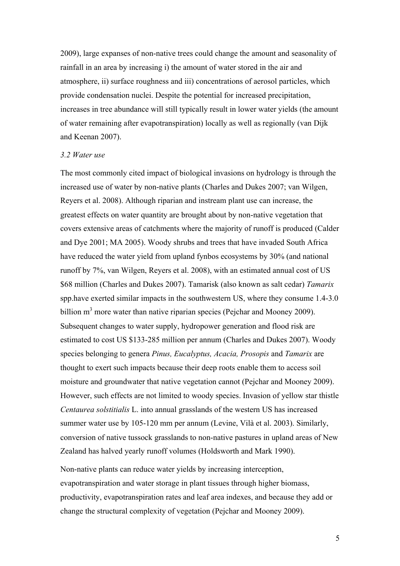2009), large expanses of non-native trees could change the amount and seasonality of rainfall in an area by increasing i) the amount of water stored in the air and atmosphere, ii) surface roughness and iii) concentrations of aerosol particles, which provide condensation nuclei. Despite the potential for increased precipitation, increases in tree abundance will still typically result in lower water yields (the amount of water remaining after evapotranspiration) locally as well as regionally (van Dijk and Keenan 2007).

#### *3.2 Water use*

The most commonly cited impact of biological invasions on hydrology is through the increased use of water by non-native plants (Charles and Dukes 2007; van Wilgen, Reyers et al. 2008). Although riparian and instream plant use can increase, the greatest effects on water quantity are brought about by non-native vegetation that covers extensive areas of catchments where the majority of runoff is produced (Calder and Dye 2001; MA 2005). Woody shrubs and trees that have invaded South Africa have reduced the water yield from upland fynbos ecosystems by 30% (and national runoff by 7%, van Wilgen, Reyers et al. 2008), with an estimated annual cost of US \$68 million (Charles and Dukes 2007). Tamarisk (also known as salt cedar) *Tamarix*  spp.have exerted similar impacts in the southwestern US, where they consume 1.4-3.0 billion  $m<sup>3</sup>$  more water than native riparian species (Pejchar and Mooney 2009). Subsequent changes to water supply, hydropower generation and flood risk are estimated to cost US \$133-285 million per annum (Charles and Dukes 2007). Woody species belonging to genera *Pinus, Eucalyptus, Acacia, Prosopis* and *Tamarix* are thought to exert such impacts because their deep roots enable them to access soil moisture and groundwater that native vegetation cannot (Pejchar and Mooney 2009). However, such effects are not limited to woody species. Invasion of yellow star thistle *Centaurea solstitialis* L. into annual grasslands of the western US has increased summer water use by 105-120 mm per annum (Levine, Vilà et al. 2003). Similarly, conversion of native tussock grasslands to non-native pastures in upland areas of New Zealand has halved yearly runoff volumes (Holdsworth and Mark 1990).

Non-native plants can reduce water yields by increasing interception, evapotranspiration and water storage in plant tissues through higher biomass, productivity, evapotranspiration rates and leaf area indexes, and because they add or change the structural complexity of vegetation (Pejchar and Mooney 2009).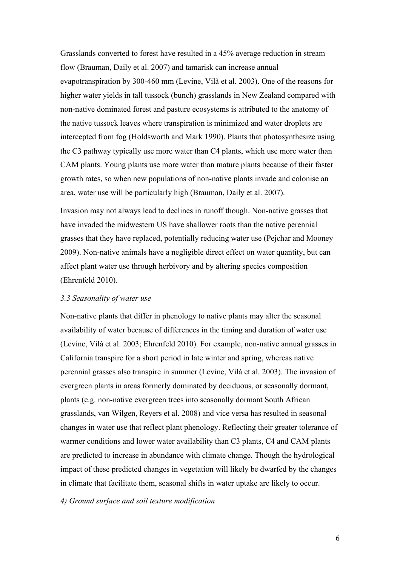Grasslands converted to forest have resulted in a 45% average reduction in stream flow (Brauman, Daily et al. 2007) and tamarisk can increase annual evapotranspiration by 300-460 mm (Levine, Vilà et al. 2003). One of the reasons for higher water yields in tall tussock (bunch) grasslands in New Zealand compared with non-native dominated forest and pasture ecosystems is attributed to the anatomy of the native tussock leaves where transpiration is minimized and water droplets are intercepted from fog (Holdsworth and Mark 1990). Plants that photosynthesize using the C3 pathway typically use more water than C4 plants, which use more water than CAM plants. Young plants use more water than mature plants because of their faster growth rates, so when new populations of non-native plants invade and colonise an area, water use will be particularly high (Brauman, Daily et al. 2007).

Invasion may not always lead to declines in runoff though. Non-native grasses that have invaded the midwestern US have shallower roots than the native perennial grasses that they have replaced, potentially reducing water use (Pejchar and Mooney 2009). Non-native animals have a negligible direct effect on water quantity, but can affect plant water use through herbivory and by altering species composition (Ehrenfeld 2010).

#### *3.3 Seasonality of water use*

Non-native plants that differ in phenology to native plants may alter the seasonal availability of water because of differences in the timing and duration of water use (Levine, Vilà et al. 2003; Ehrenfeld 2010). For example, non-native annual grasses in California transpire for a short period in late winter and spring, whereas native perennial grasses also transpire in summer (Levine, Vilà et al. 2003). The invasion of evergreen plants in areas formerly dominated by deciduous, or seasonally dormant, plants (e.g. non-native evergreen trees into seasonally dormant South African grasslands, van Wilgen, Reyers et al. 2008) and vice versa has resulted in seasonal changes in water use that reflect plant phenology. Reflecting their greater tolerance of warmer conditions and lower water availability than C3 plants, C4 and CAM plants are predicted to increase in abundance with climate change. Though the hydrological impact of these predicted changes in vegetation will likely be dwarfed by the changes in climate that facilitate them, seasonal shifts in water uptake are likely to occur.

#### *4) Ground surface and soil texture modification*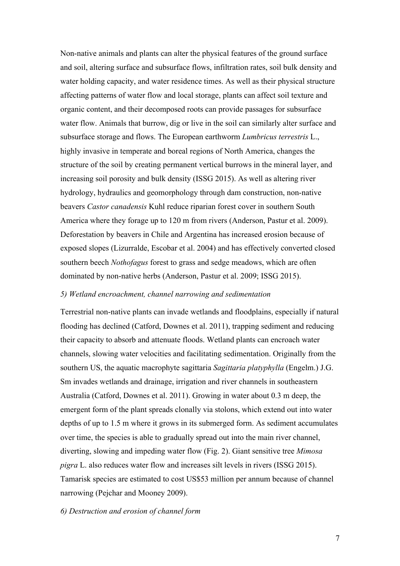Non-native animals and plants can alter the physical features of the ground surface and soil, altering surface and subsurface flows, infiltration rates, soil bulk density and water holding capacity, and water residence times. As well as their physical structure affecting patterns of water flow and local storage, plants can affect soil texture and organic content, and their decomposed roots can provide passages for subsurface water flow. Animals that burrow, dig or live in the soil can similarly alter surface and subsurface storage and flows. The European earthworm *Lumbricus terrestris* L., highly invasive in temperate and boreal regions of North America, changes the structure of the soil by creating permanent vertical burrows in the mineral layer, and increasing soil porosity and bulk density (ISSG 2015). As well as altering river hydrology, hydraulics and geomorphology through dam construction, non-native beavers *Castor canadensis* Kuhl reduce riparian forest cover in southern South America where they forage up to 120 m from rivers (Anderson, Pastur et al. 2009). Deforestation by beavers in Chile and Argentina has increased erosion because of exposed slopes (Lizurralde, Escobar et al. 2004) and has effectively converted closed southern beech *Nothofagus* forest to grass and sedge meadows, which are often dominated by non-native herbs (Anderson, Pastur et al. 2009; ISSG 2015).

#### *5) Wetland encroachment, channel narrowing and sedimentation*

Terrestrial non-native plants can invade wetlands and floodplains, especially if natural flooding has declined (Catford, Downes et al. 2011), trapping sediment and reducing their capacity to absorb and attenuate floods. Wetland plants can encroach water channels, slowing water velocities and facilitating sedimentation. Originally from the southern US, the aquatic macrophyte sagittaria *Sagittaria platyphylla* (Engelm.) J.G. Sm invades wetlands and drainage, irrigation and river channels in southeastern Australia (Catford, Downes et al. 2011). Growing in water about 0.3 m deep, the emergent form of the plant spreads clonally via stolons, which extend out into water depths of up to 1.5 m where it grows in its submerged form. As sediment accumulates over time, the species is able to gradually spread out into the main river channel, diverting, slowing and impeding water flow (Fig. 2). Giant sensitive tree *Mimosa pigra* L. also reduces water flow and increases silt levels in rivers (ISSG 2015). Tamarisk species are estimated to cost US\$53 million per annum because of channel narrowing (Pejchar and Mooney 2009).

#### *6) Destruction and erosion of channel form*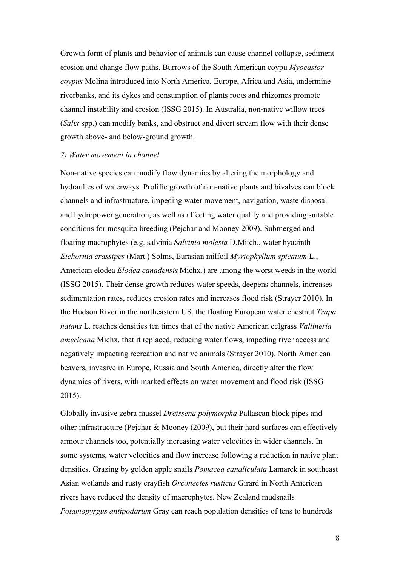Growth form of plants and behavior of animals can cause channel collapse, sediment erosion and change flow paths. Burrows of the South American coypu *Myocastor coypus* Molina introduced into North America, Europe, Africa and Asia, undermine riverbanks, and its dykes and consumption of plants roots and rhizomes promote channel instability and erosion (ISSG 2015). In Australia, non-native willow trees (*Salix* spp.) can modify banks, and obstruct and divert stream flow with their dense growth above- and below-ground growth.

#### *7) Water movement in channel*

Non-native species can modify flow dynamics by altering the morphology and hydraulics of waterways. Prolific growth of non-native plants and bivalves can block channels and infrastructure, impeding water movement, navigation, waste disposal and hydropower generation, as well as affecting water quality and providing suitable conditions for mosquito breeding (Pejchar and Mooney 2009). Submerged and floating macrophytes (e.g. salvinia *Salvinia molesta* D.Mitch., water hyacinth *Eichornia crassipes* (Mart.) Solms, Eurasian milfoil *Myriophyllum spicatum* L., American elodea *Elodea canadensis* Michx.) are among the worst weeds in the world (ISSG 2015). Their dense growth reduces water speeds, deepens channels, increases sedimentation rates, reduces erosion rates and increases flood risk (Strayer 2010). In the Hudson River in the northeastern US, the floating European water chestnut *Trapa natans* L. reaches densities ten times that of the native American eelgrass *Vallineria americana* Michx. that it replaced, reducing water flows, impeding river access and negatively impacting recreation and native animals (Strayer 2010). North American beavers, invasive in Europe, Russia and South America, directly alter the flow dynamics of rivers, with marked effects on water movement and flood risk (ISSG 2015).

Globally invasive zebra mussel *Dreissena polymorpha* Pallascan block pipes and other infrastructure (Pejchar & Mooney (2009), but their hard surfaces can effectively armour channels too, potentially increasing water velocities in wider channels. In some systems, water velocities and flow increase following a reduction in native plant densities. Grazing by golden apple snails *Pomacea canaliculata* Lamarck in southeast Asian wetlands and rusty crayfish *Orconectes rusticus* Girard in North American rivers have reduced the density of macrophytes. New Zealand mudsnails *Potamopyrgus antipodarum* Gray can reach population densities of tens to hundreds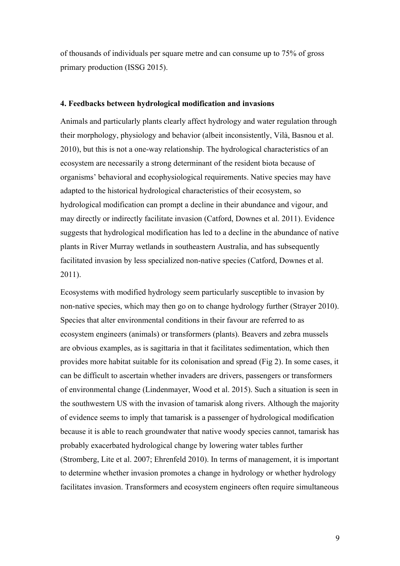of thousands of individuals per square metre and can consume up to 75% of gross primary production (ISSG 2015).

#### **4. Feedbacks between hydrological modification and invasions**

Animals and particularly plants clearly affect hydrology and water regulation through their morphology, physiology and behavior (albeit inconsistently, Vilà, Basnou et al. 2010), but this is not a one-way relationship. The hydrological characteristics of an ecosystem are necessarily a strong determinant of the resident biota because of organisms' behavioral and ecophysiological requirements. Native species may have adapted to the historical hydrological characteristics of their ecosystem, so hydrological modification can prompt a decline in their abundance and vigour, and may directly or indirectly facilitate invasion (Catford, Downes et al. 2011). Evidence suggests that hydrological modification has led to a decline in the abundance of native plants in River Murray wetlands in southeastern Australia, and has subsequently facilitated invasion by less specialized non-native species (Catford, Downes et al. 2011).

Ecosystems with modified hydrology seem particularly susceptible to invasion by non-native species, which may then go on to change hydrology further (Strayer 2010). Species that alter environmental conditions in their favour are referred to as ecosystem engineers (animals) or transformers (plants). Beavers and zebra mussels are obvious examples, as is sagittaria in that it facilitates sedimentation, which then provides more habitat suitable for its colonisation and spread (Fig 2). In some cases, it can be difficult to ascertain whether invaders are drivers, passengers or transformers of environmental change (Lindenmayer, Wood et al. 2015). Such a situation is seen in the southwestern US with the invasion of tamarisk along rivers. Although the majority of evidence seems to imply that tamarisk is a passenger of hydrological modification because it is able to reach groundwater that native woody species cannot, tamarisk has probably exacerbated hydrological change by lowering water tables further (Stromberg, Lite et al. 2007; Ehrenfeld 2010). In terms of management, it is important to determine whether invasion promotes a change in hydrology or whether hydrology facilitates invasion. Transformers and ecosystem engineers often require simultaneous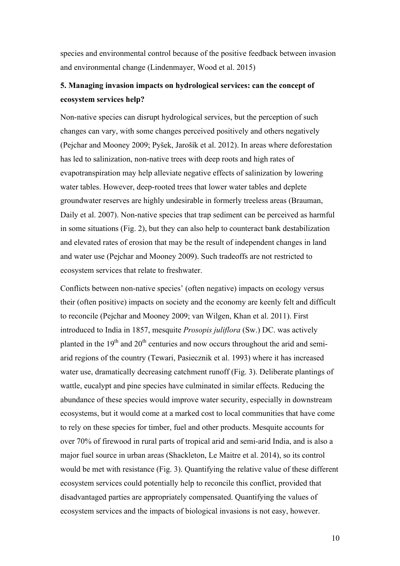species and environmental control because of the positive feedback between invasion and environmental change (Lindenmayer, Wood et al. 2015)

# **5. Managing invasion impacts on hydrological services: can the concept of ecosystem services help?**

Non-native species can disrupt hydrological services, but the perception of such changes can vary, with some changes perceived positively and others negatively (Pejchar and Mooney 2009; Pyšek, Jarošík et al. 2012). In areas where deforestation has led to salinization, non-native trees with deep roots and high rates of evapotranspiration may help alleviate negative effects of salinization by lowering water tables. However, deep-rooted trees that lower water tables and deplete groundwater reserves are highly undesirable in formerly treeless areas (Brauman, Daily et al. 2007). Non-native species that trap sediment can be perceived as harmful in some situations (Fig. 2), but they can also help to counteract bank destabilization and elevated rates of erosion that may be the result of independent changes in land and water use (Pejchar and Mooney 2009). Such tradeoffs are not restricted to ecosystem services that relate to freshwater.

Conflicts between non-native species' (often negative) impacts on ecology versus their (often positive) impacts on society and the economy are keenly felt and difficult to reconcile (Pejchar and Mooney 2009; van Wilgen, Khan et al. 2011). First introduced to India in 1857, mesquite *Prosopis juliflora* (Sw.) DC. was actively planted in the  $19<sup>th</sup>$  and  $20<sup>th</sup>$  centuries and now occurs throughout the arid and semiarid regions of the country (Tewari, Pasiecznik et al. 1993) where it has increased water use, dramatically decreasing catchment runoff (Fig. 3). Deliberate plantings of wattle, eucalypt and pine species have culminated in similar effects. Reducing the abundance of these species would improve water security, especially in downstream ecosystems, but it would come at a marked cost to local communities that have come to rely on these species for timber, fuel and other products. Mesquite accounts for over 70% of firewood in rural parts of tropical arid and semi-arid India, and is also a major fuel source in urban areas (Shackleton, Le Maitre et al. 2014), so its control would be met with resistance (Fig. 3). Quantifying the relative value of these different ecosystem services could potentially help to reconcile this conflict, provided that disadvantaged parties are appropriately compensated. Quantifying the values of ecosystem services and the impacts of biological invasions is not easy, however.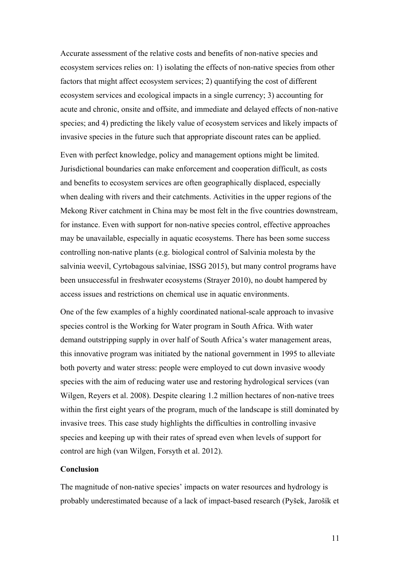Accurate assessment of the relative costs and benefits of non-native species and ecosystem services relies on: 1) isolating the effects of non-native species from other factors that might affect ecosystem services; 2) quantifying the cost of different ecosystem services and ecological impacts in a single currency; 3) accounting for acute and chronic, onsite and offsite, and immediate and delayed effects of non-native species; and 4) predicting the likely value of ecosystem services and likely impacts of invasive species in the future such that appropriate discount rates can be applied.

Even with perfect knowledge, policy and management options might be limited. Jurisdictional boundaries can make enforcement and cooperation difficult, as costs and benefits to ecosystem services are often geographically displaced, especially when dealing with rivers and their catchments. Activities in the upper regions of the Mekong River catchment in China may be most felt in the five countries downstream, for instance. Even with support for non-native species control, effective approaches may be unavailable, especially in aquatic ecosystems. There has been some success controlling non-native plants (e.g. biological control of Salvinia molesta by the salvinia weevil, Cyrtobagous salviniae, ISSG 2015), but many control programs have been unsuccessful in freshwater ecosystems (Strayer 2010), no doubt hampered by access issues and restrictions on chemical use in aquatic environments.

One of the few examples of a highly coordinated national-scale approach to invasive species control is the Working for Water program in South Africa. With water demand outstripping supply in over half of South Africa's water management areas, this innovative program was initiated by the national government in 1995 to alleviate both poverty and water stress: people were employed to cut down invasive woody species with the aim of reducing water use and restoring hydrological services (van Wilgen, Reyers et al. 2008). Despite clearing 1.2 million hectares of non-native trees within the first eight years of the program, much of the landscape is still dominated by invasive trees. This case study highlights the difficulties in controlling invasive species and keeping up with their rates of spread even when levels of support for control are high (van Wilgen, Forsyth et al. 2012).

# **Conclusion**

The magnitude of non-native species' impacts on water resources and hydrology is probably underestimated because of a lack of impact-based research (Pyšek, Jarošík et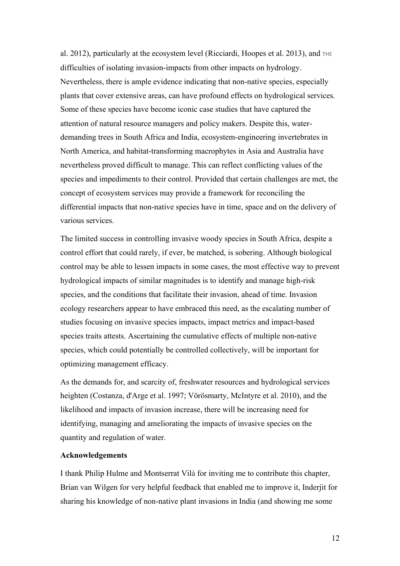al. 2012), particularly at the ecosystem level (Ricciardi, Hoopes et al. 2013), and THE difficulties of isolating invasion-impacts from other impacts on hydrology. Nevertheless, there is ample evidence indicating that non-native species, especially plants that cover extensive areas, can have profound effects on hydrological services. Some of these species have become iconic case studies that have captured the attention of natural resource managers and policy makers. Despite this, waterdemanding trees in South Africa and India, ecosystem-engineering invertebrates in North America, and habitat-transforming macrophytes in Asia and Australia have nevertheless proved difficult to manage. This can reflect conflicting values of the species and impediments to their control. Provided that certain challenges are met, the concept of ecosystem services may provide a framework for reconciling the differential impacts that non-native species have in time, space and on the delivery of various services.

The limited success in controlling invasive woody species in South Africa, despite a control effort that could rarely, if ever, be matched, is sobering. Although biological control may be able to lessen impacts in some cases, the most effective way to prevent hydrological impacts of similar magnitudes is to identify and manage high-risk species, and the conditions that facilitate their invasion, ahead of time. Invasion ecology researchers appear to have embraced this need, as the escalating number of studies focusing on invasive species impacts, impact metrics and impact-based species traits attests. Ascertaining the cumulative effects of multiple non-native species, which could potentially be controlled collectively, will be important for optimizing management efficacy.

As the demands for, and scarcity of, freshwater resources and hydrological services heighten (Costanza, d'Arge et al. 1997; Vörösmarty, McIntyre et al. 2010), and the likelihood and impacts of invasion increase, there will be increasing need for identifying, managing and ameliorating the impacts of invasive species on the quantity and regulation of water.

### **Acknowledgements**

I thank Philip Hulme and Montserrat Vilà for inviting me to contribute this chapter, Brian van Wilgen for very helpful feedback that enabled me to improve it, Inderjit for sharing his knowledge of non-native plant invasions in India (and showing me some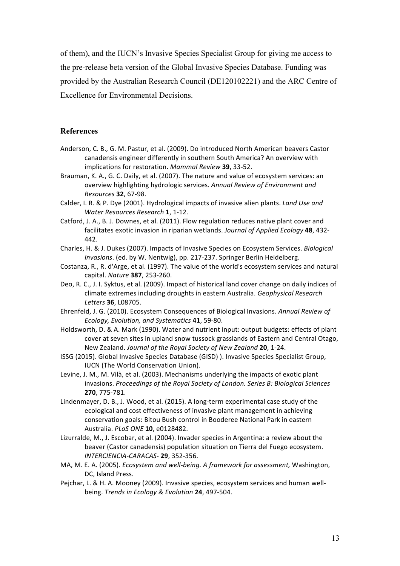of them), and the IUCN's Invasive Species Specialist Group for giving me access to the pre-release beta version of the Global Invasive Species Database. Funding was provided by the Australian Research Council (DE120102221) and the ARC Centre of Excellence for Environmental Decisions.

#### **References**

- Anderson, C. B., G. M. Pastur, et al. (2009). Do introduced North American beavers Castor canadensis engineer differently in southern South America? An overview with implications for restoration. Mammal Review 39, 33-52.
- Brauman, K. A., G. C. Daily, et al. (2007). The nature and value of ecosystem services: an overview highlighting hydrologic services. Annual Review of Environment and *Resources* **32**, 67-98.
- Calder, I. R. & P. Dye (2001). Hydrological impacts of invasive alien plants. *Land Use and Water Resources Research* **1**, 1-12.
- Catford, J. A., B. J. Downes, et al. (2011). Flow regulation reduces native plant cover and facilitates exotic invasion in riparian wetlands. *Journal of Applied Ecology* 48, 432-442.
- Charles, H. & J. Dukes (2007). Impacts of Invasive Species on Ecosystem Services. *Biological Invasions*. (ed. by W. Nentwig), pp. 217-237. Springer Berlin Heidelberg.
- Costanza, R., R. d'Arge, et al. (1997). The value of the world's ecosystem services and natural capital. *Nature* **387**, 253-260.
- Deo, R. C., J. I. Syktus, et al. (2009). Impact of historical land cover change on daily indices of climate extremes including droughts in eastern Australia. *Geophysical Research Letters* **36**, L08705.
- Ehrenfeld, J. G. (2010). Ecosystem Consequences of Biological Invasions. Annual Review of *Ecology, Evolution, and Systematics* **41**, 59-80.
- Holdsworth, D. & A. Mark (1990). Water and nutrient input: output budgets: effects of plant cover at seven sites in upland snow tussock grasslands of Eastern and Central Otago, New Zealand. *Journal of the Royal Society of New Zealand* 20, 1-24.
- ISSG (2015). Global Invasive Species Database (GISD) ). Invasive Species Specialist Group, IUCN (The World Conservation Union).
- Levine, J. M., M. Vilà, et al. (2003). Mechanisms underlying the impacts of exotic plant invasions. Proceedings of the Royal Society of London. Series B: Biological Sciences **270**, 775-781.
- Lindenmayer, D. B., J. Wood, et al. (2015). A long-term experimental case study of the ecological and cost effectiveness of invasive plant management in achieving conservation goals: Bitou Bush control in Booderee National Park in eastern Australia. *PLoS ONE* **10**, e0128482.
- Lizurralde, M., J. Escobar, et al. (2004). Invader species in Argentina: a review about the beaver (Castor canadensis) population situation on Tierra del Fuego ecosystem. *INTERCIENCIA-CARACAS-* **29**, 352-356.
- MA, M. E. A. (2005). *Ecosystem and well-being. A framework for assessment*, Washington, DC, Island Press.
- Peichar, L. & H. A. Mooney (2009). Invasive species, ecosystem services and human wellbeing. *Trends in Ecology & Evolution* 24, 497-504.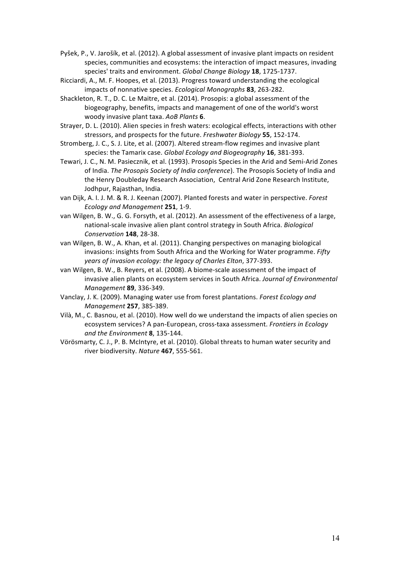- Pyšek, P., V. Jarošík, et al. (2012). A global assessment of invasive plant impacts on resident species, communities and ecosystems: the interaction of impact measures, invading species' traits and environment. *Global Change Biology* 18, 1725-1737.
- Ricciardi, A., M. F. Hoopes, et al. (2013). Progress toward understanding the ecological impacts of nonnative species. *Ecological Monographs* 83, 263-282.
- Shackleton, R. T., D. C. Le Maitre, et al. (2014). Prosopis: a global assessment of the biogeography, benefits, impacts and management of one of the world's worst woody invasive plant taxa. AoB Plants 6.
- Strayer, D. L. (2010). Alien species in fresh waters: ecological effects, interactions with other stressors, and prospects for the future. *Freshwater Biology* 55, 152-174.
- Stromberg, J. C., S. J. Lite, et al. (2007). Altered stream-flow regimes and invasive plant species: the Tamarix case. *Global Ecology and Biogeography* 16, 381-393.
- Tewari, J. C., N. M. Pasiecznik, et al. (1993). Prosopis Species in the Arid and Semi-Arid Zones of India. *The Prosopis Society of India conference*). The Prosopis Society of India and the Henry Doubleday Research Association, Central Arid Zone Research Institute, Jodhpur, Rajasthan, India.
- van Dijk, A. I. J. M. & R. J. Keenan (2007). Planted forests and water in perspective. *Forest Ecology and Management* **251**, 1-9.
- van Wilgen, B. W., G. G. Forsyth, et al. (2012). An assessment of the effectiveness of a large, national-scale invasive alien plant control strategy in South Africa. *Biological Conservation* **148**, 28-38.
- van Wilgen, B. W., A. Khan, et al. (2011). Changing perspectives on managing biological invasions: insights from South Africa and the Working for Water programme. Fifty years of invasion ecology: the legacy of Charles Elton, 377-393.
- van Wilgen, B. W., B. Reyers, et al. (2008). A biome-scale assessment of the impact of invasive alien plants on ecosystem services in South Africa. *Journal of Environmental Management* **89**, 336-349.
- Vanclay, J. K. (2009). Managing water use from forest plantations. *Forest Ecology and Management* **257**, 385-389.
- Vilà, M., C. Basnou, et al. (2010). How well do we understand the impacts of alien species on ecosystem services? A pan-European, cross-taxa assessment. *Frontiers in Ecology and the Environment* **8**, 135-144.
- Vörösmarty, C. J., P. B. McIntyre, et al. (2010). Global threats to human water security and river biodiversity. *Nature* 467, 555-561.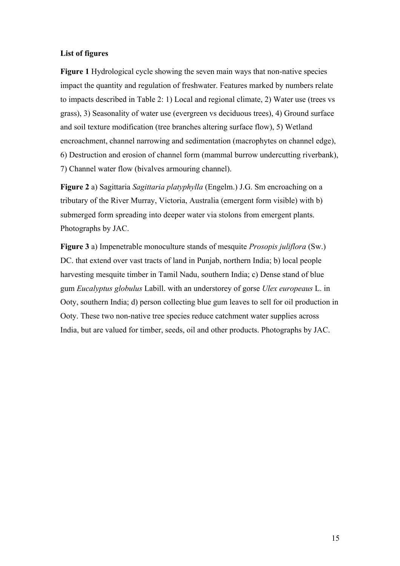### **List of figures**

**Figure 1** Hydrological cycle showing the seven main ways that non-native species impact the quantity and regulation of freshwater. Features marked by numbers relate to impacts described in Table 2: 1) Local and regional climate, 2) Water use (trees vs grass), 3) Seasonality of water use (evergreen vs deciduous trees), 4) Ground surface and soil texture modification (tree branches altering surface flow), 5) Wetland encroachment, channel narrowing and sedimentation (macrophytes on channel edge), 6) Destruction and erosion of channel form (mammal burrow undercutting riverbank), 7) Channel water flow (bivalves armouring channel).

**Figure 2** a) Sagittaria *Sagittaria platyphylla* (Engelm.) J.G. Sm encroaching on a tributary of the River Murray, Victoria, Australia (emergent form visible) with b) submerged form spreading into deeper water via stolons from emergent plants. Photographs by JAC.

**Figure 3** a) Impenetrable monoculture stands of mesquite *Prosopis juliflora* (Sw.) DC. that extend over vast tracts of land in Punjab, northern India; b) local people harvesting mesquite timber in Tamil Nadu, southern India; c) Dense stand of blue gum *Eucalyptus globulus* Labill. with an understorey of gorse *Ulex europeaus* L. in Ooty, southern India; d) person collecting blue gum leaves to sell for oil production in Ooty. These two non-native tree species reduce catchment water supplies across India, but are valued for timber, seeds, oil and other products. Photographs by JAC.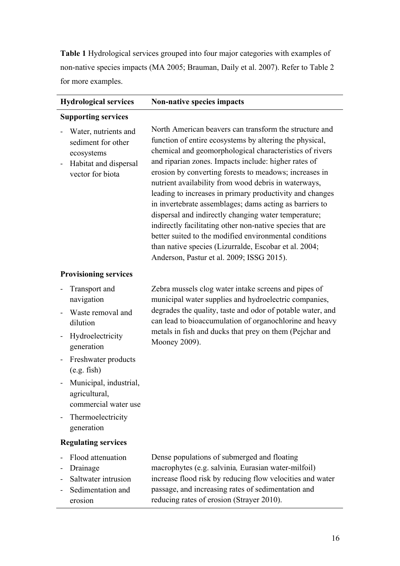**Table 1** Hydrological services grouped into four major categories with examples of non-native species impacts (MA 2005; Brauman, Daily et al. 2007). Refer to Table 2 for more examples.

| <b>Hydrological services</b>                                                                          | Non-native species impacts                                                                                                                                                                                                                                                                                                                                                                                                                                                                                                                                                                                                                                                                                                                                         |
|-------------------------------------------------------------------------------------------------------|--------------------------------------------------------------------------------------------------------------------------------------------------------------------------------------------------------------------------------------------------------------------------------------------------------------------------------------------------------------------------------------------------------------------------------------------------------------------------------------------------------------------------------------------------------------------------------------------------------------------------------------------------------------------------------------------------------------------------------------------------------------------|
| <b>Supporting services</b>                                                                            |                                                                                                                                                                                                                                                                                                                                                                                                                                                                                                                                                                                                                                                                                                                                                                    |
| Water, nutrients and<br>sediment for other<br>ecosystems<br>Habitat and dispersal<br>vector for biota | North American beavers can transform the structure and<br>function of entire ecosystems by altering the physical,<br>chemical and geomorphological characteristics of rivers<br>and riparian zones. Impacts include: higher rates of<br>erosion by converting forests to meadows; increases in<br>nutrient availability from wood debris in waterways,<br>leading to increases in primary productivity and changes<br>in invertebrate assemblages; dams acting as barriers to<br>dispersal and indirectly changing water temperature;<br>indirectly facilitating other non-native species that are<br>better suited to the modified environmental conditions<br>than native species (Lizurralde, Escobar et al. 2004;<br>Anderson, Pastur et al. 2009; ISSG 2015). |
| <b>Provisioning services</b>                                                                          |                                                                                                                                                                                                                                                                                                                                                                                                                                                                                                                                                                                                                                                                                                                                                                    |
| Transport and<br>navigation<br>Waste removal and                                                      | Zebra mussels clog water intake screens and pipes of<br>municipal water supplies and hydroelectric companies,<br>degrades the quality, taste and odor of potable water, and<br>can lead to bioaccumulation of organochlorine and heavy<br>metals in fish and ducks that prey on them (Pejchar and<br>Mooney 2009).                                                                                                                                                                                                                                                                                                                                                                                                                                                 |
| dilution<br>Hydroelectricity<br>generation                                                            |                                                                                                                                                                                                                                                                                                                                                                                                                                                                                                                                                                                                                                                                                                                                                                    |
| Freshwater products<br>(e.g. fish)                                                                    |                                                                                                                                                                                                                                                                                                                                                                                                                                                                                                                                                                                                                                                                                                                                                                    |
| Municipal, industrial,<br>agricultural,<br>commercial water use                                       |                                                                                                                                                                                                                                                                                                                                                                                                                                                                                                                                                                                                                                                                                                                                                                    |
| Thermoelectricity                                                                                     |                                                                                                                                                                                                                                                                                                                                                                                                                                                                                                                                                                                                                                                                                                                                                                    |

# **Regulating services**

generation

- Flood attenuation
- Drainage
- Saltwater intrusion - Sedimentation and erosion

Dense populations of submerged and floating macrophytes (e.g. salvinia*,* Eurasian water-milfoil) increase flood risk by reducing flow velocities and water passage, and increasing rates of sedimentation and reducing rates of erosion (Strayer 2010).